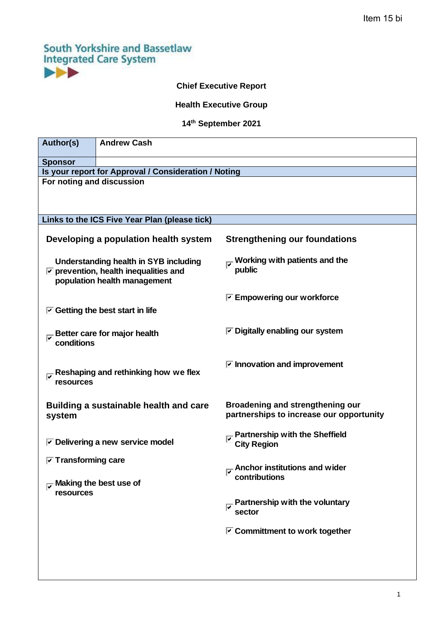# **South Yorkshire and Bassetlaw Integrated Care System**  $\blacktriangleright\blacktriangleright$

# **Chief Executive Report**

# **Health Executive Group**

## **14 th September 2021**

| Author(s)                                                                                                                           | <b>Andrew Cash</b>                                              |                                                                              |  |
|-------------------------------------------------------------------------------------------------------------------------------------|-----------------------------------------------------------------|------------------------------------------------------------------------------|--|
| <b>Sponsor</b>                                                                                                                      |                                                                 |                                                                              |  |
| Is your report for Approval / Consideration / Noting                                                                                |                                                                 |                                                                              |  |
| For noting and discussion                                                                                                           |                                                                 |                                                                              |  |
| Links to the ICS Five Year Plan (please tick)                                                                                       |                                                                 |                                                                              |  |
| Developing a population health system                                                                                               |                                                                 | <b>Strengthening our foundations</b>                                         |  |
| <b>Understanding health in SYB including</b><br>$\triangledown$ prevention, health inequalities and<br>population health management |                                                                 | public                                                                       |  |
|                                                                                                                                     |                                                                 | $\triangledown$ Empowering our workforce                                     |  |
| $\triangleright$ Getting the best start in life                                                                                     |                                                                 |                                                                              |  |
| conditions                                                                                                                          | Better care for major health                                    | $\triangleright$ Digitally enabling our system                               |  |
| resources                                                                                                                           | $\overline{ \mathcal{S} }$ Reshaping and rethinking how we flex | $\triangleright$ Innovation and improvement                                  |  |
| system                                                                                                                              | Building a sustainable health and care                          | Broadening and strengthening our<br>partnerships to increase our opportunity |  |
|                                                                                                                                     | $\triangledown$ Delivering a new service model                  | $\overline{K}$ Partnership with the Sheffield<br><b>City Region</b>          |  |
| $\triangleright$ Transforming care<br>$\overline{u}$ Making the best use of                                                         |                                                                 | Anchor institutions and wider<br>contributions                               |  |
| resources                                                                                                                           |                                                                 | Partnership with the voluntary<br>sector                                     |  |
|                                                                                                                                     |                                                                 | $\triangleright$ Committment to work together                                |  |
|                                                                                                                                     |                                                                 |                                                                              |  |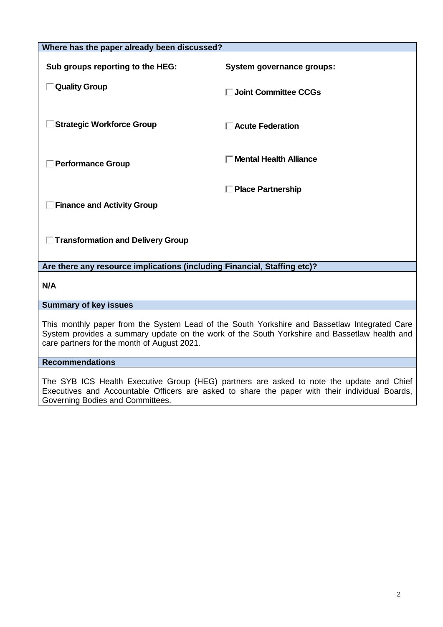| Where has the paper already been discussed?                                                                                                                                                                                                 |                               |  |  |
|---------------------------------------------------------------------------------------------------------------------------------------------------------------------------------------------------------------------------------------------|-------------------------------|--|--|
| Sub groups reporting to the HEG:                                                                                                                                                                                                            | System governance groups:     |  |  |
| □ Quality Group                                                                                                                                                                                                                             | □ Joint Committee CCGs        |  |  |
| Strategic Workforce Group                                                                                                                                                                                                                   | $\Box$ Acute Federation       |  |  |
| <b>Performance Group</b>                                                                                                                                                                                                                    | <b>Mental Health Alliance</b> |  |  |
| □ Place Partnership<br><b>Finance and Activity Group</b><br>□ Transformation and Delivery Group                                                                                                                                             |                               |  |  |
|                                                                                                                                                                                                                                             |                               |  |  |
| Are there any resource implications (including Financial, Staffing etc)?                                                                                                                                                                    |                               |  |  |
| N/A                                                                                                                                                                                                                                         |                               |  |  |
| <b>Summary of key issues</b>                                                                                                                                                                                                                |                               |  |  |
| This monthly paper from the System Lead of the South Yorkshire and Bassetlaw Integrated Care<br>System provides a summary update on the work of the South Yorkshire and Bassetlaw health and<br>care partners for the month of August 2021. |                               |  |  |
| <b>Recommendations</b>                                                                                                                                                                                                                      |                               |  |  |
| The SVR ICS Health Executive Crown (HEC) partners are asked to note the undate and Chief                                                                                                                                                    |                               |  |  |

The SYB ICS Health Executive Group (HEG) partners are asked to note the update and Chief Executives and Accountable Officers are asked to share the paper with their individual Boards, Governing Bodies and Committees.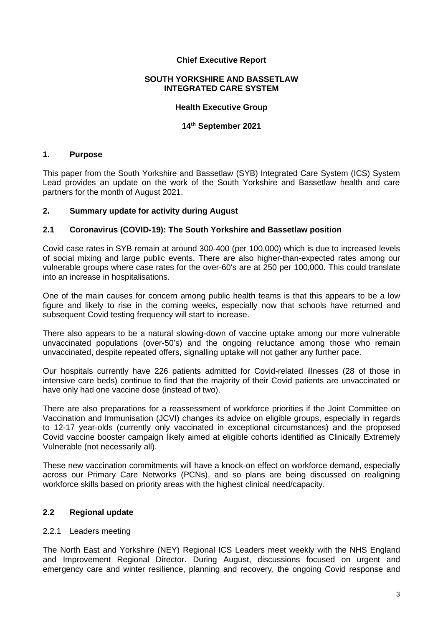#### **Chief Executive Report**

#### **SOUTH YORKSHIRE AND BASSETLAW INTEGRATED CARE SYSTEM**

#### **Health Executive Group**

## **14 th September 2021**

## **1. Purpose**

This paper from the South Yorkshire and Bassetlaw (SYB) Integrated Care System (ICS) System Lead provides an update on the work of the South Yorkshire and Bassetlaw health and care partners for the month of August 2021.

#### **2. Summary update for activity during August**

#### **2.1 Coronavirus (COVID-19): The South Yorkshire and Bassetlaw position**

Covid case rates in SYB remain at around 300-400 (per 100,000) which is due to increased levels of social mixing and large public events. There are also higher-than-expected rates among our vulnerable groups where case rates for the over-60's are at 250 per 100,000. This could translate into an increase in hospitalisations.

One of the main causes for concern among public health teams is that this appears to be a low figure and likely to rise in the coming weeks, especially now that schools have returned and subsequent Covid testing frequency will start to increase.

There also appears to be a natural slowing-down of vaccine uptake among our more vulnerable unvaccinated populations (over-50's) and the ongoing reluctance among those who remain unvaccinated, despite repeated offers, signalling uptake will not gather any further pace.

Our hospitals currently have 226 patients admitted for Covid-related illnesses (28 of those in intensive care beds) continue to find that the majority of their Covid patients are unvaccinated or have only had one vaccine dose (instead of two).

There are also preparations for a reassessment of workforce priorities if the Joint Committee on Vaccination and Immunisation (JCVI) changes its advice on eligible groups, especially in regards to 12-17 year-olds (currently only vaccinated in exceptional circumstances) and the proposed Covid vaccine booster campaign likely aimed at eligible cohorts identified as Clinically Extremely Vulnerable (not necessarily all).

These new vaccination commitments will have a knock-on effect on workforce demand, especially across our Primary Care Networks (PCNs), and so plans are being discussed on realigning workforce skills based on priority areas with the highest clinical need/capacity.

## **2.2 Regional update**

## 2.2.1 Leaders meeting

The North East and Yorkshire (NEY) Regional ICS Leaders meet weekly with the NHS England and Improvement Regional Director. During August, discussions focused on urgent and emergency care and winter resilience, planning and recovery, the ongoing Covid response and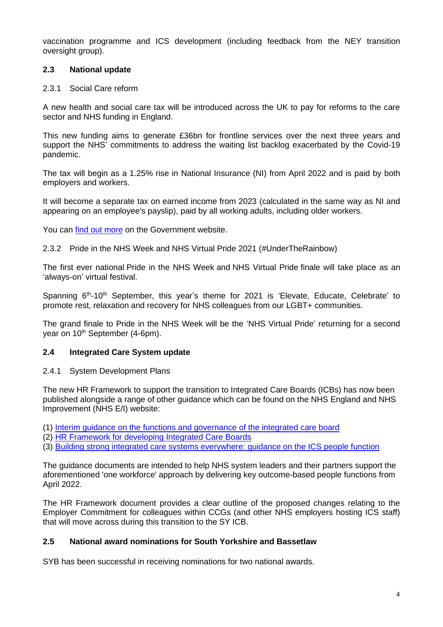vaccination programme and ICS development (including feedback from the NEY transition oversight group).

## **2.3 National update**

#### 2.3.1 Social Care reform

A new health and social care tax will be introduced across the UK to pay for reforms to the care sector and NHS funding in England.

This new funding aims to generate £36bn for frontline services over the next three years and support the NHS' commitments to address the waiting list backlog exacerbated by the Covid-19 pandemic.

The tax will begin as a 1.25% rise in National Insurance (NI) from April 2022 and is paid by both employers and workers.

It will become a separate tax on earned income from 2023 (calculated in the same way as NI and appearing on an employee's payslip), paid by all working adults, including older workers.

You can [find out more](https://www.gov.uk/government/news/record-36-billion-investment-to-reform-nhs-and-social-care) on the Government website.

2.3.2 Pride in the NHS Week and NHS Virtual Pride 2021 (#UnderTheRainbow)

The first ever national Pride in the NHS Week and NHS Virtual Pride finale will take place as an 'always-on' virtual festival.

Spanning 6<sup>th</sup>-10<sup>th</sup> September, this year's theme for 2021 is 'Elevate, Educate, Celebrate' to promote rest, relaxation and recovery for NHS colleagues from our LGBT+ communities.

The grand finale to Pride in the NHS Week will be the 'NHS Virtual Pride' returning for a second year on 10<sup>th</sup> September (4-6pm).

## **2.4 Integrated Care System update**

2.4.1 System Development Plans

The new HR Framework to support the transition to Integrated Care Boards (ICBs) has now been published alongside a range of other guidance which can be found on the NHS England and NHS Improvement (NHS E/I) website:

- (1) [Interim guidance on the functions and governance of the integrated care board](https://server.smartmailer.tractivity.co.uk/link.aspx?q=phQ/y+HcHd4tBjvC9pXC2pKyJGsb/EhL1Gvd06geSyzSOjr/49HPXU+92B4xkKjIzqR5LPxsXuKI+8a0yNYT6zyf6KZyG9V/NiNw8n37SRRwshjZ87fB2AYXvnz6p12Mg11Xcbxbkub/Aa6STemmFP9k7e+hyLVwvQfe+d6NHLXQKeGV1tc9E6iTIu4FjYYuUhip6cMJyK+Ma9RkPXTmjXzTeCd5wQ8mULQCJLWSSXAPab7qJNGCL6b1o+OpIY2vG+EDR9VB1A1mzN5VubxrkvqAQlSj/VPw2SnqO7CnRIBJbzr4pkhVoatoqkcaOaMGbeh7aoTlI5YQ1aGLSRf5jpqtFPYi/CRyv0FFM6AOhzs4lRm/t/sczFx3lelere7kzWxFutgWf8zFipFWAXvMw2Gzn7u1rg7LtN+P/B5njrO8oRqlZJJKR2odnvvMnv7coOeJkV3cdeiDULCq744F3D1rqcvh3tawSJ1ePg7eb4fJuJRnR9hCejSqQkPF9uRETazsvtckt/GbgxF4YWgf67kDVoOaqHLjJ3BvfU9P7FmOfDvKgWbT/FLkMGVBOcB4n3wMFWZlRzrqJRyKvEToSMNStALE99dxByu0JLXJsMbqeSo65s2EA33dBJX+OvJFwXdcl4ItjuxJ3tfOW61xG0L1L3UHaBcUHyTjOriJfCi2aD3hVehz7QlmdYnuNOfRROrjsr9JnAePYYc5qx83nNfCkUA8kZhkMD4PNz0r1JPgIionObIY00yghTGvpMosZPZl5JwKhFNXqO23wpdUuA==)
- (2) [HR Framework for developing Integrated Care Boards](https://server.smartmailer.tractivity.co.uk/link.aspx?q=phQ/y+HcHd4tBjvC9pXC2pKyJGsb/EhL1Gvd06geSyzSOjr/49HPXU+92B4xkKjIzqR5LPxsXuKI+8a0yNYT6zyf6KZyG9V/NiNw8n37SRRwshjZ87fB2AYXvnz6p12Mg11Xcbxbkub/Aa6STemmFP9k7e+hyLVwvQfe+d6NHLXQKeGV1tc9E6iTIu4FjYYuUhip6cMJyK+Ma9RkPXTmjXzTeCd5wQ8mULQCJLWSSXAPab7qJNGCL6b1o+OpIY2vG+EDR9VB1A1mzN5VubxrkvqAQlSj/VPw2SnqO7CnRIBJbzr4pkhVoatoqkcaOaMGbeh7aoTlI5YQ1aGLSRf5jpqtFPYi/CRyv0FFM6AOhzs4lRm/t/sczFx3lelere7kzWxFutgWf8zFipFWAXvMw2Gzn7u1rg7LtN+P/B5njrO8oRqlZJJKR2odnvvMnv7coOeJkV3cdeiDULCq744F3D1rqcvh3tawSJ1ePg7eb4eqv4Xpf50/NqBZo3xcEtpxNk7F8y/Vyh66UAK0JDJyWJzWWcx2HKfAt0VnTRdoajvDPxcm/ELG8CpWlt3vQAGY7FSjNsGaeqYnfa3uqX7P+jOOHo234JzeZfCjDaih2Svi5N51RifOTWtiYmiZwWy06sPi6iq73BhQ6nG2t6D88eJW+RiFnjiD+8dy/m+2FHkq9Vmb7r6Fx9Bo2Wcaxq2VN0D7XL8ZH+wC5YTMuAUIW9oggA+TCusyu2BqVbdZwTBtlCkJNVww6k91y1wB0FrKUdTfrhYrqfJjt8/BdWWgqg==)
- (3) [Building strong integrated care systems everywhere: guidance on the ICS people function](https://server.smartmailer.tractivity.co.uk/link.aspx?q=phQ/y+HcHd4tBjvC9pXC2pKyJGsb/EhL1Gvd06geSyzSOjr/49HPXU+92B4xkKjIzqR5LPxsXuKI+8a0yNYT6zyf6KZyG9V/NiNw8n37SRRwshjZ87fB2AYXvnz6p12Mg11Xcbxbkub/Aa6STemmFP9k7e+hyLVwvQfe+d6NHLXQKeGV1tc9E6iTIu4FjYYuUhip6cMJyK+Ma9RkPXTmjXzTeCd5wQ8mULQCJLWSSXAPab7qJNGCL6b1o+OpIY2vG+EDR9VB1A1mzN5VubxrkvqAQlSj/VPw2SnqO7CnRIBJbzr4pkhVoatoqkcaOaMGbeh7aoTlI5YQ1aGLSRf5jpqtFPYi/CRyv0FFM6AOhzs4lRm/t/sczFx3lelere7kzWxFutgWf8zFipFWAXvMw2Gzn7u1rg7LtN+P/B5njrO8oRqlZJJKR2odnvvMnv7coOeJkV3cdeiDULCq744F3D1rqcvh3tawSJ1ePg7eb4eW2xYdaq+H6alI9xVLLFEwVHLme59YS0av1QFeTrAujXOkZhwhf9tooc2tElZ1m4EnPm5P7wXicZLZp9kDoNfxKhR+LATqlmMZMJUkDn1ltKJoUvTwUygOONDoxQc6Rtx3d/eD7wM+SLCbJJOlvc+bR5mw1XUhaMF7BCNh7O7Svu0D+4IWOyTEbkksmKOXNGzKAcinne4dol0VBrm4RPFpnMDhkG62dhLwPqFFBOJCHBJ7bSLkJMBbfN6elR19GabgMo690wlo5mr/87BjeMoiBCMwxgbWD6uA006n74DgJQ==)

The guidance documents are intended to help NHS system leaders and their partners support the aforementioned 'one workforce' approach by delivering key outcome-based people functions from April 2022.

The HR Framework document provides a clear outline of the proposed changes relating to the Employer Commitment for colleagues within CCGs (and other NHS employers hosting ICS staff) that will move across during this transition to the SY ICB.

## **2.5 National award nominations for South Yorkshire and Bassetlaw**

SYB has been successful in receiving nominations for two national awards.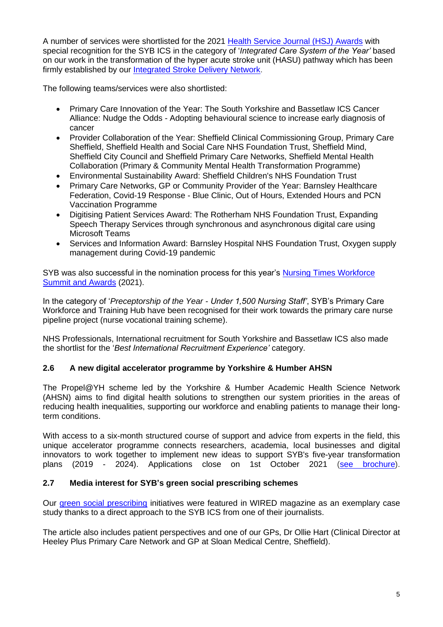A number of services were shortlisted for the 2021 [Health Service Journal \(HSJ\) Awards](https://sybics.co.uk/news/latest/local-health-and-care-services-shortlisted-national-awards?newsID=) with special recognition for the SYB ICS in the category of '*Integrated Care System of the Year'* based on our work in the transformation of the hyper acute stroke unit (HASU) pathway which has been firmly established by our [Integrated Stroke Delivery Network.](https://sybics.co.uk/stroke)

The following teams/services were also shortlisted:

- Primary Care Innovation of the Year: The South Yorkshire and Bassetlaw ICS Cancer Alliance: Nudge the Odds - Adopting behavioural science to increase early diagnosis of cancer
- Provider Collaboration of the Year: Sheffield Clinical Commissioning Group, Primary Care Sheffield, Sheffield Health and Social Care NHS Foundation Trust, Sheffield Mind, Sheffield City Council and Sheffield Primary Care Networks, Sheffield Mental Health Collaboration (Primary & Community Mental Health Transformation Programme)
- Environmental Sustainability Award: Sheffield Children's NHS Foundation Trust
- Primary Care Networks, GP or Community Provider of the Year: Barnsley Healthcare Federation, Covid-19 Response - Blue Clinic, Out of Hours, Extended Hours and PCN Vaccination Programme
- Digitising Patient Services Award: The Rotherham NHS Foundation Trust, Expanding Speech Therapy Services through synchronous and asynchronous digital care using Microsoft Teams
- Services and Information Award: Barnsley Hospital NHS Foundation Trust, Oxygen supply management during Covid-19 pandemic

SYB was also successful in the nomination process for this year's Nursing Times Workforce [Summit and Awards](https://server.smartmailer.tractivity.co.uk/link.aspx?q=phQ/y+HcHd4tBjvC9pXC2hKXGd9WTkqlgEIYb00bTheqiaaL7Mf9XWLhBFUP482exO9jmeWh3RbvpGcep+mBFU/Uf3GLb4c+AaGMQil6hQFzwRcETbstzDnE91yoWPoXIrTAhIrSB6020Wu4Kkk5uUaTcW03TazS9IU3maIIAoELx4im6rpE3NCMInQz7mICugO7q0+UdeLmzoi62tJYn37mMozs2n5kVdf/+dLcXx12RTF0QEuNzcJr2amH+g29hLvRUUqHE/impu70/iV/me8rp6I7itNhA5pP3qqrKXhTU+a4gEDw3/5aURAur0oCbkSH9cAsQ2tfEvLJFSsVD6Tigyu/s6lZ8GlSjEsf1Gbl8HiGwI4m3BDfFwxWODlvep6d89uU103l3yFde9Dgroc960w0FybMdQ20vcACPjggAK2gOnbndVcFeN7LkPInPcvDAjsGexnV2VgsKm3sveA+A3Ovi4K0PZoOVZ1nlfcP5zGKxv8DYC/pB/iNbO9nnVbQrx5hDeFRRy1u+W/1WGIrQdMqBVYFLdLOBJZIBJ0yhZv+1fUzJys8KteWV3qlDzU9XLlOn5vgRaIHQzl8zmGJGpkWpsq2XucfCtVoo8aRmyXo02vadMFqh3ZitRykj65hhttLS8wxmvZiX8IssEQ4+LoaxaUirP7R7l+s69sI0GgbaQ3d6wsNejX8vNmh4R6lyphgeEkD8rHXIp18xrZuvaht7pvgluIvkAvRo5jmkC4GZThdjeX8poHJbDk7ttbzDaHYbUHt57awNT/prA==) (2021).

In the category of '*Preceptorship of the Year - Under 1,500 Nursing Staff'*, SYB's Primary Care Workforce and Training Hub have been recognised for their work towards the primary care nurse pipeline project (nurse vocational training scheme).

NHS Professionals, International recruitment for South Yorkshire and Bassetlaw ICS also made the shortlist for the '*Best International Recruitment Experience'* category.

## **2.6 A new digital accelerator programme by Yorkshire & Humber AHSN**

The [Propel@YH](https://server.smartmailer.tractivity.co.uk/link.aspx?q=phQ/y+HcHd4tBjvC9pXC2iBeWNr3UScN+VGic9acQnges71IITj7E71eoqt5HqA1/+V1RuZukg+TkYrcwLlt4TPVq2B/Bb00NButRtPFGAO4+V+QlPnDxQScUpkeQJXNG7ARs62JgH409ZfBLLPUKlQ2LvOl3e2m8MnoUpuO2v3XAYKfacN+WxKLjksg+ERO1R1DL+F1xNGPBMJ+GtkMnQ1LHkY3X+E3tKUOZjSllA1Ue+XpuKb0mhXvIjdOFpSIMKWqaqSDzDAlhQJebPIc8f0BGexrj0ub4L0Z+OCzhGrKOfpW0GOp97sdDxY9Hfihl/a7H1GIqRR0h4R6z563kb3X/ojVk5LyNwtzttGnKnyz936JRen0yihegM7kGg1UyrvAeEI+FtA3RFefpQ1w69pwH4bpCHyY5dDGgP6uRXT92tUhFSLxhIy3Gq/3fKk/06sG6ln4RSMuy8Y+383zcimvrV9PvpAvjjkgU4+7iHK2C9+4eWN1fs2nqXVQX1vSWp2O83mbIn2DBWGwGqSLISS9coPSa0NeDDvKCTokCezAtEc/OcJVPZyNd16tvHIwFxUWzIRdeMvqFAJ9+xIfushte0g8h2Nmu9RVsnsuypIo6xi5A/ah8D6NHBolxJPWO55PX0Yvzs6Ctg7FqxO0BKcE7SxfRfy+DBFmBGNFpIwoC9zszuHDvhUUzJj5tuKRdlX7FSLnhSQtmd0DOSs3TXPM/wPiHYs5VoZJehIwAD5ZoG9pq7XosRz/rYNhinX4hbk/HrOx86JLpRYPixXrZA==) scheme led by the [Yorkshire & Humber Academic Health Science Network](https://server.smartmailer.tractivity.co.uk/link.aspx?q=phQ/y+HcHd4tBjvC9pXC2iBeWNr3UScN+VGic9acQnges71IITj7E71eoqt5HqA1/+V1RuZukg+TkYrcwLlt4TPVq2B/Bb00NButRtPFGAO4+V+QlPnDxQScUpkeQJXNG7ARs62JgH409ZfBLLPUKlQ2LvOl3e2m8MnoUpuO2v3XAYKfacN+WxKLjksg+ERO1R1DL+F1xNGPBMJ+GtkMnQ1LHkY3X+E3tKUOZjSllA1Ue+XpuKb0mhXvIjdOFpSIMKWqaqSDzDAlhQJebPIc8f0BGexrj0ub4L0Z+OCzhGrKOfpW0GOp97sdDxY9Hfihl/a7H1GIqRR0h4R6z563kb3X/ojVk5LyNwtzttGnKnyz936JRen0yihegM7kGg1UyrvAeEI+FtA3RFefpQ1w69pwH4bpCHyY5dDGgP6uRXT92tUhFSLxhIy3Gq/3fKk/06sG6ln4RSMuy8Y+383zcimvrV9PvpAvjjkgU4+7iHLx0IlgDdMAetn3KKWrWaMAqwQC6wodgsfVlygJqxNd3+uAWMbmuxfccvg3PnPntlaQfB7AobPe4CKYYR7HwTsNfsDpRlDZUqkawv+SmcoYr3k+132KQSG1Q+1mjimnIi5G9lBHAQwydHPdmESO0U1nB9UqBx9L3NEiTXjHQZPCHtseavOKJmCYrL0ipsNlCtOXzYu81NfvGWDvzKAOSrMeknfjHaRPHZ2biGgomn016qItwaW8NKE+HAaoxWf+JsovemH+VVU6NoU0l6K5Pg5WaICrg2+Z/wl6veoBeubGPw==)  [\(AHSN\)](https://server.smartmailer.tractivity.co.uk/link.aspx?q=phQ/y+HcHd4tBjvC9pXC2iBeWNr3UScN+VGic9acQnges71IITj7E71eoqt5HqA1/+V1RuZukg+TkYrcwLlt4TPVq2B/Bb00NButRtPFGAO4+V+QlPnDxQScUpkeQJXNG7ARs62JgH409ZfBLLPUKlQ2LvOl3e2m8MnoUpuO2v3XAYKfacN+WxKLjksg+ERO1R1DL+F1xNGPBMJ+GtkMnQ1LHkY3X+E3tKUOZjSllA1Ue+XpuKb0mhXvIjdOFpSIMKWqaqSDzDAlhQJebPIc8f0BGexrj0ub4L0Z+OCzhGrKOfpW0GOp97sdDxY9Hfihl/a7H1GIqRR0h4R6z563kb3X/ojVk5LyNwtzttGnKnyz936JRen0yihegM7kGg1UyrvAeEI+FtA3RFefpQ1w69pwH4bpCHyY5dDGgP6uRXT92tUhFSLxhIy3Gq/3fKk/06sG6ln4RSMuy8Y+383zcimvrV9PvpAvjjkgU4+7iHLx0IlgDdMAetn3KKWrWaMAqwQC6wodgsfVlygJqxNd3+uAWMbmuxfccvg3PnPntlaQfB7AobPe4CKYYR7HwTsNfsDpRlDZUqkawv+SmcoYr3k+132KQSG1Q+1mjimnIi5G9lBHAQwydHPdmESO0U1nB9UqBx9L3NEiTXjHQZPCHtseavOKJmCYrL0ipsNlCtOXzYu81NfvGWDvzKAOSrMeknfjHaRPHZ2biGgomn016qItwaW8NKE+HAaoxWf+JsovemH+VVU6NoU0l6K5Pg5WaICrg2+Z/wl6veoBeubGPw==) aims to find digital health solutions to strengthen our system priorities in the areas of reducing health inequalities, supporting our workforce and enabling patients to manage their longterm conditions.

With access to a six-month structured course of support and advice from experts in the field, this unique accelerator programme connects researchers, academia, local businesses and digital innovators to work together to implement new ideas to support [SYB's five-year transformation](https://server.smartmailer.tractivity.co.uk/link.aspx?q=phQ/y+HcHd4tBjvC9pXC2iBeWNr3UScN+VGic9acQnges71IITj7E71eoqt5HqA1/+V1RuZukg+TkYrcwLlt4TPVq2B/Bb00NButRtPFGAO4+V+QlPnDxQScUpkeQJXNG7ARs62JgH409ZfBLLPUKlQ2LvOl3e2m8MnoUpuO2v3XAYKfacN+WxKLjksg+ERO1R1DL+F1xNGPBMJ+GtkMnQ1LHkY3X+E3tKUOZjSllA1Ue+XpuKb0mhXvIjdOFpSIMKWqaqSDzDAlhQJebPIc8f0BGexrj0ub4L0Z+OCzhGrKOfpW0GOp97sdDxY9Hfihl/a7H1GIqRR0h4R6z563kb3X/ojVk5LyNwtzttGnKnyz936JRen0yihegM7kGg1UyrvAeEI+FtA3RFefpQ1w69pwH4bpCHyY5dDGgP6uRXT92tUhFSLxhIy3Gq/3fKk/06sG6ln4RSMuy8Y+383zcimvrV9PvpAvjjkgU4+7iHLC4wvaDq1hXMP3T0PdvJ1S6IlCCxEwxnl4wY3s9unSSW8oUzpQY1Ul8RjqYMXeV+EXYM4mCbMMulTLmvj094NsqgnB0g0sxce60PeafHS5ETm+IFwgrdEU4fvAldl1drnJxcc8oJfy8EtnEzky96bZ1gKn6kmz7haldPT8mUrk/b54fUoiO+UHykJxkNEVN2J4W52pzTzsvKR7X1UNnwOHyb7zWEDZpw+j0FxAc6KjMHaUkIq+egSOJvLrgM5srWDqpJfXFzZbsr6SNF6IxleShZFA5yIuAMApKPkhGqEEQQ==)  [plans](https://server.smartmailer.tractivity.co.uk/link.aspx?q=phQ/y+HcHd4tBjvC9pXC2iBeWNr3UScN+VGic9acQnges71IITj7E71eoqt5HqA1/+V1RuZukg+TkYrcwLlt4TPVq2B/Bb00NButRtPFGAO4+V+QlPnDxQScUpkeQJXNG7ARs62JgH409ZfBLLPUKlQ2LvOl3e2m8MnoUpuO2v3XAYKfacN+WxKLjksg+ERO1R1DL+F1xNGPBMJ+GtkMnQ1LHkY3X+E3tKUOZjSllA1Ue+XpuKb0mhXvIjdOFpSIMKWqaqSDzDAlhQJebPIc8f0BGexrj0ub4L0Z+OCzhGrKOfpW0GOp97sdDxY9Hfihl/a7H1GIqRR0h4R6z563kb3X/ojVk5LyNwtzttGnKnyz936JRen0yihegM7kGg1UyrvAeEI+FtA3RFefpQ1w69pwH4bpCHyY5dDGgP6uRXT92tUhFSLxhIy3Gq/3fKk/06sG6ln4RSMuy8Y+383zcimvrV9PvpAvjjkgU4+7iHLC4wvaDq1hXMP3T0PdvJ1S6IlCCxEwxnl4wY3s9unSSW8oUzpQY1Ul8RjqYMXeV+EXYM4mCbMMulTLmvj094NsqgnB0g0sxce60PeafHS5ETm+IFwgrdEU4fvAldl1drnJxcc8oJfy8EtnEzky96bZ1gKn6kmz7haldPT8mUrk/b54fUoiO+UHykJxkNEVN2J4W52pzTzsvKR7X1UNnwOHyb7zWEDZpw+j0FxAc6KjMHaUkIq+egSOJvLrgM5srWDqpJfXFzZbsr6SNF6IxleShZFA5yIuAMApKPkhGqEEQQ==) (2019 - 2024). Applications close on 1st October 2021 [\(see brochure\)](https://server.smartmailer.tractivity.co.uk/link.aspx?q=phQ/y+HcHd4tBjvC9pXC2iBeWNr3UScN+VGic9acQnges71IITj7E71eoqt5HqA1/+V1RuZukg+TkYrcwLlt4TPVq2B/Bb00NButRtPFGAO4+V+QlPnDxQScUpkeQJXNG7ARs62JgH409ZfBLLPUKlQ2LvOl3e2m8MnoUpuO2v3XAYKfacN+WxKLjksg+ERO1R1DL+F1xNGPBMJ+GtkMnQ1LHkY3X+E3tKUOZjSllA1Ue+XpuKb0mhXvIjdOFpSIMKWqaqSDzDAlhQJebPIc8f0BGexrj0ub4L0Z+OCzhGrKOfpW0GOp97sdDxY9Hfihl/a7H1GIqRR0h4R6z563kb3X/ojVk5LyNwtzttGnKnyz936JRen0yihegM7kGg1UyrvAeEI+FtA3RFefpQ1w69pwH4bpCHyY5dDGgP6uRXT92tUhFSLxhIy3Gq/3fKk/06sG6ln4RSMuy8Y+383zcimvrV9PvpAvjjkgU4+7iHI+1/WCzPQLjRy4AveunbNXxY6XvUwPEi0HG4DgGxthLOCOwhPmAcUylrBWUivQZZAAY3j1IH+0UT2zYIIPY/1gSyrFMZj7ixaVCZgrqZBqUgQB61f702oW1eoNrk5EpgEqk9ESLMF6btCWqqP9IkbT+1bzLCpuRa5PxCndXX6/Cb5YEvrduk5TLY4YBNUYnOjfN20UyO1lVI1YaobdAXj4o4U9JEi3/r6+zYRRurelHGgftz1NPlreBb8opRev8Eu0OFaDSvo6VsmhRwOX5paxUsokGIuuXdb2jc07FmHYSw==).

# **2.7 Media interest for SYB's green social prescribing schemes**

Our [green social prescribing](https://www.wired.co.uk/article/social-prescribing) initiatives were featured in WIRED magazine as an exemplary case study thanks to a direct approach to the SYB ICS from one of their journalists.

The article also includes patient perspectives and one of our GPs, Dr Ollie Hart (Clinical Director at Heeley Plus Primary Care Network and GP at Sloan Medical Centre, Sheffield).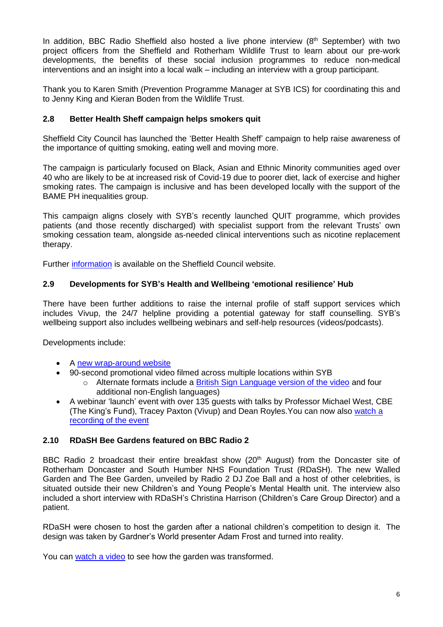In addition, BBC Radio Sheffield also hosted a live phone interview (8<sup>th</sup> September) with two project officers from the Sheffield and Rotherham Wildlife Trust to learn about our pre-work developments, the benefits of these social inclusion programmes to reduce non-medical interventions and an insight into a local walk – including an interview with a group participant.

Thank you to Karen Smith (Prevention Programme Manager at SYB ICS) for coordinating this and to Jenny King and Kieran Boden from the Wildlife Trust.

## **2.8 Better Health Sheff campaign helps smokers quit**

Sheffield City Council has launched the 'Better Health Sheff' campaign to help raise awareness of the importance of quitting smoking, eating well and moving more.

The campaign is particularly focused on Black, Asian and Ethnic Minority communities aged over 40 who are likely to be at increased risk of Covid-19 due to poorer diet, lack of exercise and higher smoking rates. The campaign is inclusive and has been developed locally with the support of the BAME PH inequalities group.

This campaign aligns closely with SYB's recently launched QUIT programme, which provides patients (and those recently discharged) with specialist support from the relevant Trusts' own smoking cessation team, alongside as-needed clinical interventions such as nicotine replacement therapy.

Further [information](visit%20www.sheffield.gov.uk/betterhealth) is available on the Sheffield Council website.

# **2.9 Developments for SYB's Health and Wellbeing 'emotional resilience' Hub**

There have been further additions to raise the internal profile of staff support services which includes Vivup, the 24/7 helpline providing a potential gateway for staff counselling. SYB's wellbeing support also includes wellbeing webinars and self-help resources (videos/podcasts).

Developments include:

- A [new wrap-around website](https://sybics.co.uk/workforce-wellbeing)
- 90-second promotional video filmed across multiple locations within SYB
	- $\circ$  Alternate formats include a [British Sign Language version of the video](https://youtu.be/qLsQ9l1S8wQ) and four additional non-English languages)
- A webinar 'launch' event with over 135 guests with talks by Professor Michael West, CBE (The King's Fund), Tracey Paxton (Vivup) and Dean Royles.You can now also [watch a](https://youtu.be/mOJBR_c1xRw) [recording of the event](https://youtu.be/mOJBR_c1xRw)

# **2.10 RDaSH Bee Gardens featured on BBC Radio 2**

BBC Radio 2 broadcast their entire breakfast show (20<sup>th</sup> August) from the Doncaster site of Rotherham Doncaster and South Humber NHS Foundation Trust (RDaSH). The new Walled Garden and The Bee Garden, unveiled by Radio 2 DJ Zoe Ball and a host of other celebrities, is situated outside their new Children's and Young People's Mental Health unit. The interview also included a short interview with RDaSH's Christina Harrison (Children's Care Group Director) and a patient.

RDaSH were chosen to host the garden after a national children's competition to design it. The design was taken by Gardner's World presenter Adam Frost and turned into reality.

You can [watch a](https://youtu.be/mt51mqx4Vgk) video to see how the garden was transformed.